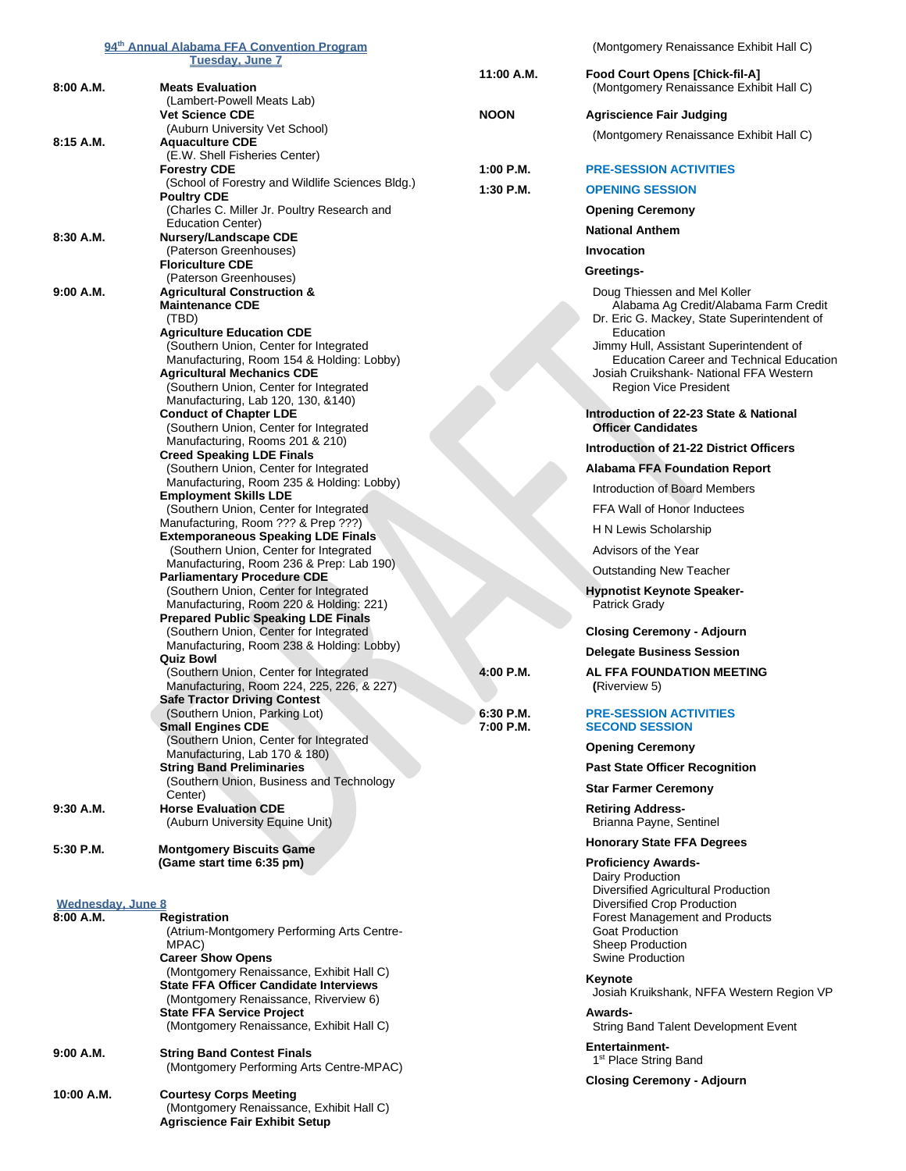| 94 <sup>th</sup> Annual Alabama FFA Convention Program |                                                                                      |                          | (Montgomery Renaissance Exhibit Hall C)                               |
|--------------------------------------------------------|--------------------------------------------------------------------------------------|--------------------------|-----------------------------------------------------------------------|
|                                                        | <u>Tuesdav. June 7</u>                                                               | 11:00 A.M.               | <b>Food Court Opens [Chick-fil-A]</b>                                 |
| 8:00 A.M.                                              | <b>Meats Evaluation</b>                                                              |                          | (Montgomery Renaissance Exhibit Hall C)                               |
|                                                        | (Lambert-Powell Meats Lab)<br><b>Vet Science CDE</b>                                 | <b>NOON</b>              | <b>Agriscience Fair Judging</b>                                       |
|                                                        | (Auburn University Vet School)                                                       |                          |                                                                       |
| 8:15A.M.                                               | <b>Aquaculture CDE</b>                                                               |                          | (Montgomery Renaissance Exhibit Hall C)                               |
|                                                        | (E.W. Shell Fisheries Center)<br><b>Forestry CDE</b>                                 | $1:00$ P.M.              | <b>PRE-SESSION ACTIVITIES</b>                                         |
|                                                        | (School of Forestry and Wildlife Sciences Bldg.)                                     | 1:30 P.M.                | <b>OPENING SESSION</b>                                                |
|                                                        | <b>Poultry CDE</b><br>(Charles C. Miller Jr. Poultry Research and                    |                          | <b>Opening Ceremony</b>                                               |
|                                                        | Education Center)                                                                    |                          | <b>National Anthem</b>                                                |
| 8:30 A.M.                                              | Nursery/Landscape CDE<br>(Paterson Greenhouses)                                      |                          | Invocation                                                            |
|                                                        | <b>Floriculture CDE</b>                                                              |                          |                                                                       |
|                                                        | (Paterson Greenhouses)                                                               |                          | Greetings-                                                            |
| 9:00 A.M.                                              | <b>Agricultural Construction &amp;</b><br><b>Maintenance CDE</b>                     |                          | Doug Thiessen and Mel Koller<br>Alabama Ag Credit/Alabama Farm Credit |
|                                                        | (TBD)                                                                                |                          | Dr. Eric G. Mackey, State Superintendent of                           |
|                                                        | <b>Agriculture Education CDE</b><br>(Southern Union, Center for Integrated           |                          | Education<br>Jimmy Hull, Assistant Superintendent of                  |
|                                                        | Manufacturing, Room 154 & Holding: Lobby)                                            |                          | <b>Education Career and Technical Education</b>                       |
|                                                        | <b>Agricultural Mechanics CDE</b>                                                    |                          | Josiah Cruikshank- National FFA Western                               |
|                                                        | (Southern Union, Center for Integrated<br>Manufacturing, Lab 120, 130, &140)         |                          | <b>Region Vice President</b>                                          |
|                                                        | <b>Conduct of Chapter LDE</b>                                                        |                          | Introduction of 22-23 State & National                                |
|                                                        | (Southern Union, Center for Integrated<br>Manufacturing, Rooms 201 & 210)            |                          | <b>Officer Candidates</b>                                             |
|                                                        | <b>Creed Speaking LDE Finals</b>                                                     |                          | Introduction of 21-22 District Officers                               |
|                                                        | (Southern Union, Center for Integrated                                               |                          | <b>Alabama FFA Foundation Report</b>                                  |
|                                                        | Manufacturing, Room 235 & Holding: Lobby)<br><b>Employment Skills LDE</b>            |                          | Introduction of Board Members                                         |
|                                                        | (Southern Union, Center for Integrated                                               |                          | FFA Wall of Honor Inductees                                           |
|                                                        | Manufacturing, Room ??? & Prep ???)<br><b>Extemporaneous Speaking LDE Finals</b>     |                          | H N Lewis Scholarship                                                 |
|                                                        | (Southern Union, Center for Integrated                                               |                          | Advisors of the Year                                                  |
|                                                        | Manufacturing, Room 236 & Prep: Lab 190)                                             |                          | Outstanding New Teacher                                               |
|                                                        | <b>Parliamentary Procedure CDE</b><br>(Southern Union, Center for Integrated         |                          | <b>Hypnotist Keynote Speaker-</b>                                     |
|                                                        | Manufacturing, Room 220 & Holding: 221)                                              |                          | Patrick Grady                                                         |
|                                                        | <b>Prepared Public Speaking LDE Finals</b><br>(Southern Union, Center for Integrated |                          | <b>Closing Ceremony - Adjourn</b>                                     |
|                                                        | Manufacturing, Room 238 & Holding: Lobby)                                            |                          | <b>Delegate Business Session</b>                                      |
|                                                        | <b>Quiz Bowl</b>                                                                     |                          | AL FFA FOUNDATION MEETING                                             |
|                                                        | (Southern Union, Center for Integrated<br>Manufacturing, Room 224, 225, 226, & 227)  | 4:00 P.M.                | (Riverview 5)                                                         |
|                                                        | <b>Safe Tractor Driving Contest</b>                                                  |                          |                                                                       |
|                                                        | (Southern Union, Parking Lot)<br>Small Engines CDE                                   | $6:30$ P.M.<br>7:00 P.M. | <b>PRE-SESSION ACTIVITIES</b><br><b>SECOND SESSION</b>                |
|                                                        | (Southern Union, Center for Integrated                                               |                          | <b>Opening Ceremony</b>                                               |
|                                                        | Manufacturing, Lab 170 & 180)                                                        |                          |                                                                       |
|                                                        | <b>String Band Preliminaries</b><br>(Southern Union, Business and Technology         |                          | <b>Past State Officer Recognition</b>                                 |
|                                                        | Center)                                                                              |                          | <b>Star Farmer Ceremony</b>                                           |
| 9:30 A.M.                                              | <b>Horse Evaluation CDE</b><br>(Auburn University Equine Unit)                       |                          | <b>Retiring Address-</b><br>Brianna Payne, Sentinel                   |
|                                                        |                                                                                      |                          | <b>Honorary State FFA Degrees</b>                                     |
| 5:30 P.M.                                              | <b>Montgomery Biscuits Game</b><br>(Game start time 6:35 pm)                         |                          | <b>Proficiency Awards-</b>                                            |
|                                                        |                                                                                      |                          | Dairy Production                                                      |
|                                                        |                                                                                      |                          | Diversified Agricultural Production                                   |
| Wednesday, June 8<br>8:00 A.M.                         | <b>Registration</b>                                                                  |                          | Diversified Crop Production<br><b>Forest Management and Products</b>  |
|                                                        | (Atrium-Montgomery Performing Arts Centre-                                           |                          | <b>Goat Production</b>                                                |
|                                                        | MPAC)<br><b>Career Show Opens</b>                                                    |                          | <b>Sheep Production</b><br>Swine Production                           |
|                                                        | (Montgomery Renaissance, Exhibit Hall C)                                             |                          | Keynote                                                               |
|                                                        | <b>State FFA Officer Candidate Interviews</b>                                        |                          | Josiah Kruikshank, NFFA Western Region VP                             |
|                                                        | (Montgomery Renaissance, Riverview 6)<br><b>State FFA Service Project</b>            |                          | <b>Awards-</b>                                                        |
|                                                        | (Montgomery Renaissance, Exhibit Hall C)                                             |                          | String Band Talent Development Event                                  |
| 9:00 A.M.                                              | <b>String Band Contest Finals</b>                                                    |                          | <b>Entertainment-</b>                                                 |
|                                                        | (Montgomery Performing Arts Centre-MPAC)                                             |                          | 1 <sup>st</sup> Place String Band                                     |
| 10:00 A.M.                                             | <b>Courtesy Corps Meeting</b>                                                        |                          | <b>Closing Ceremony - Adjourn</b>                                     |
|                                                        | (Montgomery Renaissance, Exhibit Hall C)                                             |                          |                                                                       |
|                                                        | <b>Agriscience Fair Exhibit Setup</b>                                                |                          |                                                                       |
|                                                        |                                                                                      |                          |                                                                       |
|                                                        |                                                                                      |                          |                                                                       |